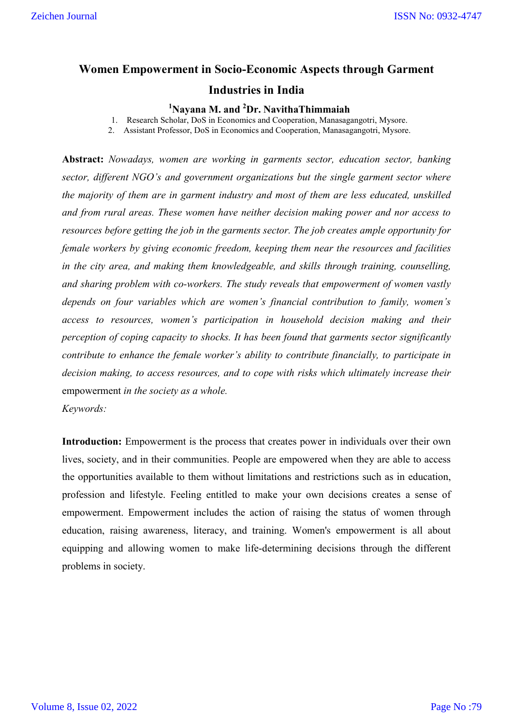# **Women Empowerment in Socio-Economic Aspects through Garment**

### **Industries in India**

# **1 Nayana M. and 2 Dr. NavithaThimmaiah**

1. Research Scholar, DoS in Economics and Cooperation, Manasagangotri, Mysore.

2. Assistant Professor, DoS in Economics and Cooperation, Manasagangotri, Mysore.

**Abstract:** *Nowadays, women are working in garments sector, education sector, banking sector, different NGO's and government organizations but the single garment sector where the majority of them are in garment industry and most of them are less educated, unskilled and from rural areas. These women have neither decision making power and nor access to resources before getting the job in the garments sector. The job creates ample opportunity for female workers by giving economic freedom, keeping them near the resources and facilities in the city area, and making them knowledgeable, and skills through training, counselling, and sharing problem with co-workers. The study reveals that empowerment of women vastly depends on four variables which are women's financial contribution to family, women's access to resources, women's participation in household decision making and their perception of coping capacity to shocks. It has been found that garments sector significantly contribute to enhance the female worker's ability to contribute financially, to participate in decision making, to access resources, and to cope with risks which ultimately increase their*  empowerment *in the society as a whole.* 

*Keywords:* 

**Introduction:** Empowerment is the process that creates power in individuals over their own lives, society, and in their communities. People are empowered when they are able to access the opportunities available to them without limitations and restrictions such as in education, profession and lifestyle. Feeling entitled to make your own decisions creates a sense of empowerment. Empowerment includes the action of raising the status of women through education, raising awareness, literacy, and training. Women's empowerment is all about equipping and allowing women to make life-determining decisions through the different problems in society.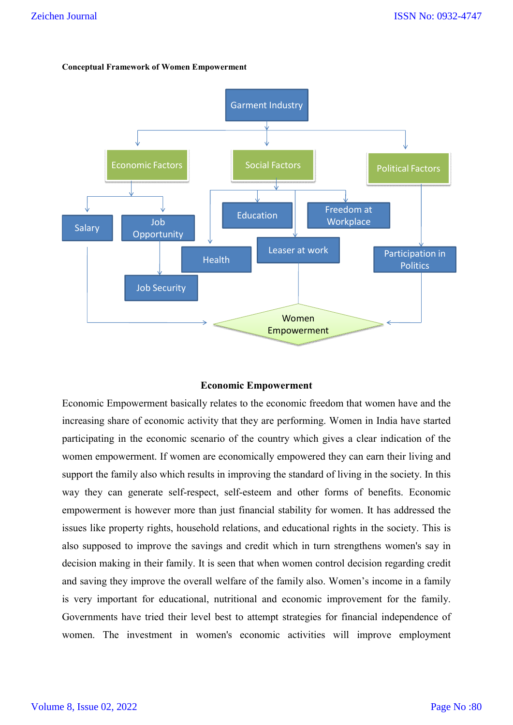#### **Conceptual Framework of Women Empowerment**



#### **Economic Empowerment**

Economic Empowerment basically relates to the economic freedom that women have and the increasing share of economic activity that they are performing. Women in India have started participating in the economic scenario of the country which gives a clear indication of the women empowerment. If women are economically empowered they can earn their living and support the family also which results in improving the standard of living in the society. In this way they can generate self-respect, self-esteem and other forms of benefits. Economic empowerment is however more than just financial stability for women. It has addressed the issues like property rights, household relations, and educational rights in the society. This is also supposed to improve the savings and credit which in turn strengthens women's say in decision making in their family. It is seen that when women control decision regarding credit and saving they improve the overall welfare of the family also. Women's income in a family is very important for educational, nutritional and economic improvement for the family. Governments have tried their level best to attempt strategies for financial independence of women. The investment in women's economic activities will improve employment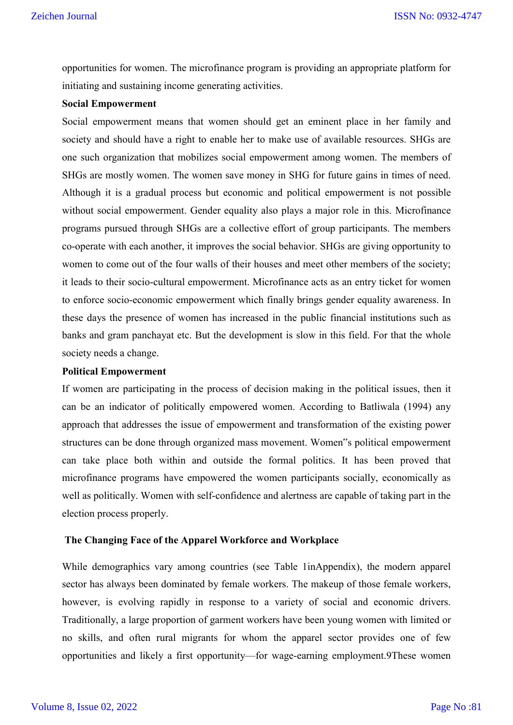opportunities for women. The microfinance program is providing an appropriate platform for initiating and sustaining income generating activities.

### **Social Empowerment**

Social empowerment means that women should get an eminent place in her family and society and should have a right to enable her to make use of available resources. SHGs are one such organization that mobilizes social empowerment among women. The members of SHGs are mostly women. The women save money in SHG for future gains in times of need. Although it is a gradual process but economic and political empowerment is not possible without social empowerment. Gender equality also plays a major role in this. Microfinance programs pursued through SHGs are a collective effort of group participants. The members co-operate with each another, it improves the social behavior. SHGs are giving opportunity to women to come out of the four walls of their houses and meet other members of the society; it leads to their socio-cultural empowerment. Microfinance acts as an entry ticket for women to enforce socio-economic empowerment which finally brings gender equality awareness. In these days the presence of women has increased in the public financial institutions such as banks and gram panchayat etc. But the development is slow in this field. For that the whole society needs a change.

#### **Political Empowerment**

If women are participating in the process of decision making in the political issues, then it can be an indicator of politically empowered women. According to Batliwala (1994) any approach that addresses the issue of empowerment and transformation of the existing power structures can be done through organized mass movement. Women"s political empowerment can take place both within and outside the formal politics. It has been proved that microfinance programs have empowered the women participants socially, economically as well as politically. Women with self-confidence and alertness are capable of taking part in the election process properly.

#### **The Changing Face of the Apparel Workforce and Workplace**

While demographics vary among countries (see Table 1inAppendix), the modern apparel sector has always been dominated by female workers. The makeup of those female workers, however, is evolving rapidly in response to a variety of social and economic drivers. Traditionally, a large proportion of garment workers have been young women with limited or no skills, and often rural migrants for whom the apparel sector provides one of few opportunities and likely a first opportunity—for wage-earning employment.9These women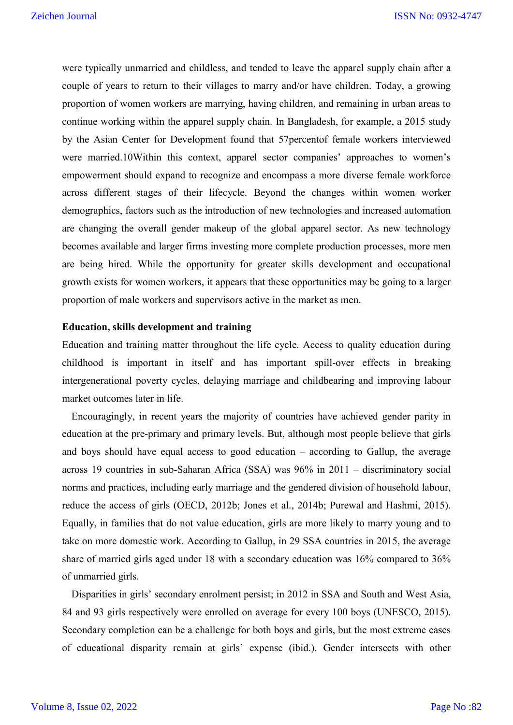were typically unmarried and childless, and tended to leave the apparel supply chain after a couple of years to return to their villages to marry and/or have children. Today, a growing proportion of women workers are marrying, having children, and remaining in urban areas to continue working within the apparel supply chain. In Bangladesh, for example, a 2015 study by the Asian Center for Development found that 57percentof female workers interviewed were married.10Within this context, apparel sector companies' approaches to women's empowerment should expand to recognize and encompass a more diverse female workforce across different stages of their lifecycle. Beyond the changes within women worker demographics, factors such as the introduction of new technologies and increased automation are changing the overall gender makeup of the global apparel sector. As new technology becomes available and larger firms investing more complete production processes, more men are being hired. While the opportunity for greater skills development and occupational growth exists for women workers, it appears that these opportunities may be going to a larger proportion of male workers and supervisors active in the market as men.

#### **Education, skills development and training**

Education and training matter throughout the life cycle. Access to quality education during childhood is important in itself and has important spill-over effects in breaking intergenerational poverty cycles, delaying marriage and childbearing and improving labour market outcomes later in life.

Encouragingly, in recent years the majority of countries have achieved gender parity in education at the pre-primary and primary levels. But, although most people believe that girls and boys should have equal access to good education – according to Gallup, the average across 19 countries in sub-Saharan Africa (SSA) was 96% in 2011 – discriminatory social norms and practices, including early marriage and the gendered division of household labour, reduce the access of girls (OECD, 2012b; Jones et al., 2014b; Purewal and Hashmi, 2015). Equally, in families that do not value education, girls are more likely to marry young and to take on more domestic work. According to Gallup, in 29 SSA countries in 2015, the average share of married girls aged under 18 with a secondary education was 16% compared to 36% of unmarried girls.

Disparities in girls' secondary enrolment persist; in 2012 in SSA and South and West Asia, 84 and 93 girls respectively were enrolled on average for every 100 boys (UNESCO, 2015). Secondary completion can be a challenge for both boys and girls, but the most extreme cases of educational disparity remain at girls' expense (ibid.). Gender intersects with other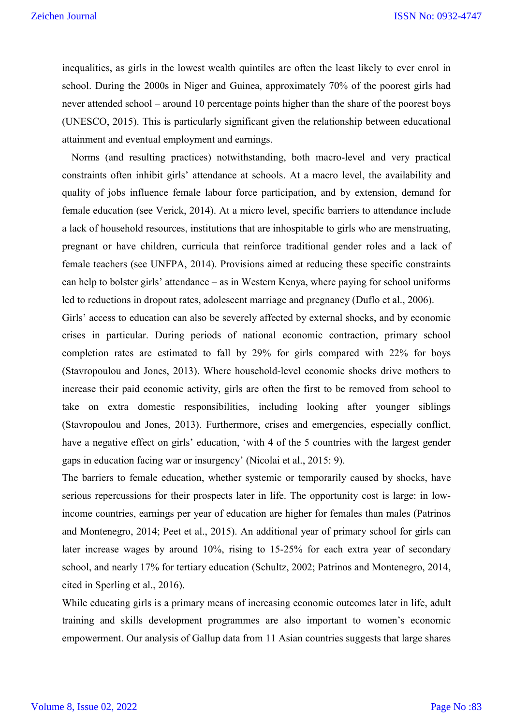inequalities, as girls in the lowest wealth quintiles are often the least likely to ever enrol in school. During the 2000s in Niger and Guinea, approximately 70% of the poorest girls had never attended school – around 10 percentage points higher than the share of the poorest boys (UNESCO, 2015). This is particularly significant given the relationship between educational attainment and eventual employment and earnings.

Norms (and resulting practices) notwithstanding, both macro-level and very practical constraints often inhibit girls' attendance at schools. At a macro level, the availability and quality of jobs influence female labour force participation, and by extension, demand for female education (see Verick, 2014). At a micro level, specific barriers to attendance include a lack of household resources, institutions that are inhospitable to girls who are menstruating, pregnant or have children, curricula that reinforce traditional gender roles and a lack of female teachers (see UNFPA, 2014). Provisions aimed at reducing these specific constraints can help to bolster girls' attendance – as in Western Kenya, where paying for school uniforms led to reductions in dropout rates, adolescent marriage and pregnancy (Duflo et al., 2006).

Girls' access to education can also be severely affected by external shocks, and by economic crises in particular. During periods of national economic contraction, primary school completion rates are estimated to fall by 29% for girls compared with 22% for boys (Stavropoulou and Jones, 2013). Where household-level economic shocks drive mothers to increase their paid economic activity, girls are often the first to be removed from school to take on extra domestic responsibilities, including looking after younger siblings (Stavropoulou and Jones, 2013). Furthermore, crises and emergencies, especially conflict, have a negative effect on girls' education, 'with 4 of the 5 countries with the largest gender gaps in education facing war or insurgency' (Nicolai et al., 2015: 9).

The barriers to female education, whether systemic or temporarily caused by shocks, have serious repercussions for their prospects later in life. The opportunity cost is large: in lowincome countries, earnings per year of education are higher for females than males (Patrinos and Montenegro, 2014; Peet et al., 2015). An additional year of primary school for girls can later increase wages by around 10%, rising to 15-25% for each extra year of secondary school, and nearly 17% for tertiary education (Schultz, 2002; Patrinos and Montenegro, 2014, cited in Sperling et al., 2016).

While educating girls is a primary means of increasing economic outcomes later in life, adult training and skills development programmes are also important to women's economic empowerment. Our analysis of Gallup data from 11 Asian countries suggests that large shares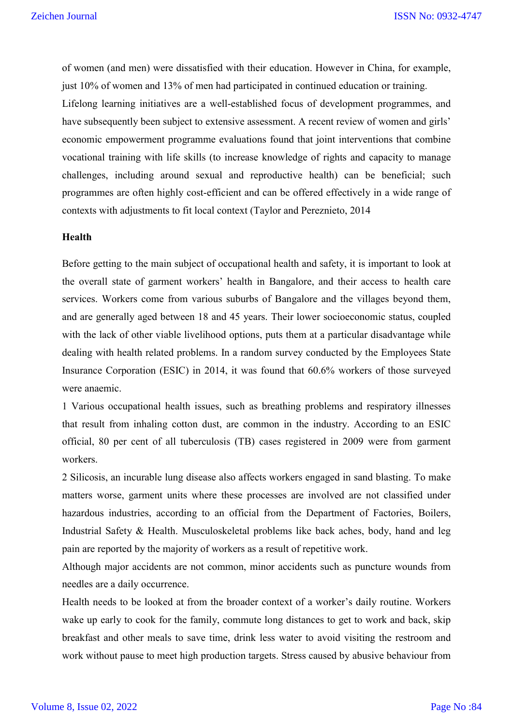of women (and men) were dissatisfied with their education. However in China, for example, just 10% of women and 13% of men had participated in continued education or training. Lifelong learning initiatives are a well-established focus of development programmes, and have subsequently been subject to extensive assessment. A recent review of women and girls' economic empowerment programme evaluations found that joint interventions that combine vocational training with life skills (to increase knowledge of rights and capacity to manage challenges, including around sexual and reproductive health) can be beneficial; such programmes are often highly cost-efficient and can be offered effectively in a wide range of contexts with adjustments to fit local context (Taylor and Pereznieto, 2014

#### **Health**

Before getting to the main subject of occupational health and safety, it is important to look at the overall state of garment workers' health in Bangalore, and their access to health care services. Workers come from various suburbs of Bangalore and the villages beyond them, and are generally aged between 18 and 45 years. Their lower socioeconomic status, coupled with the lack of other viable livelihood options, puts them at a particular disadvantage while dealing with health related problems. In a random survey conducted by the Employees State Insurance Corporation (ESIC) in 2014, it was found that 60.6% workers of those surveyed were anaemic.

1 Various occupational health issues, such as breathing problems and respiratory illnesses that result from inhaling cotton dust, are common in the industry. According to an ESIC official, 80 per cent of all tuberculosis (TB) cases registered in 2009 were from garment workers.

2 Silicosis, an incurable lung disease also affects workers engaged in sand blasting. To make matters worse, garment units where these processes are involved are not classified under hazardous industries, according to an official from the Department of Factories, Boilers, Industrial Safety & Health. Musculoskeletal problems like back aches, body, hand and leg pain are reported by the majority of workers as a result of repetitive work.

Although major accidents are not common, minor accidents such as puncture wounds from needles are a daily occurrence.

Health needs to be looked at from the broader context of a worker's daily routine. Workers wake up early to cook for the family, commute long distances to get to work and back, skip breakfast and other meals to save time, drink less water to avoid visiting the restroom and work without pause to meet high production targets. Stress caused by abusive behaviour from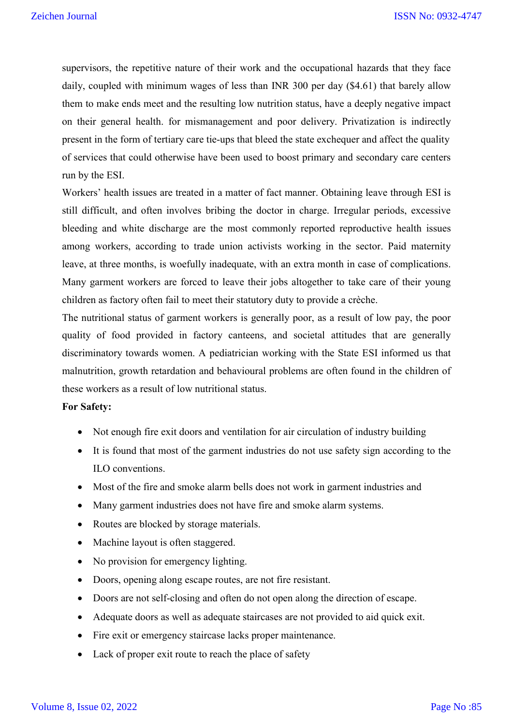supervisors, the repetitive nature of their work and the occupational hazards that they face daily, coupled with minimum wages of less than INR 300 per day (\$4.61) that barely allow them to make ends meet and the resulting low nutrition status, have a deeply negative impact on their general health. for mismanagement and poor delivery. Privatization is indirectly present in the form of tertiary care tie-ups that bleed the state exchequer and affect the quality of services that could otherwise have been used to boost primary and secondary care centers run by the ESI.

Workers' health issues are treated in a matter of fact manner. Obtaining leave through ESI is still difficult, and often involves bribing the doctor in charge. Irregular periods, excessive bleeding and white discharge are the most commonly reported reproductive health issues among workers, according to trade union activists working in the sector. Paid maternity leave, at three months, is woefully inadequate, with an extra month in case of complications. Many garment workers are forced to leave their jobs altogether to take care of their young children as factory often fail to meet their statutory duty to provide a crèche.

The nutritional status of garment workers is generally poor, as a result of low pay, the poor quality of food provided in factory canteens, and societal attitudes that are generally discriminatory towards women. A pediatrician working with the State ESI informed us that malnutrition, growth retardation and behavioural problems are often found in the children of these workers as a result of low nutritional status.

#### **For Safety:**

- Not enough fire exit doors and ventilation for air circulation of industry building
- It is found that most of the garment industries do not use safety sign according to the ILO conventions.
- Most of the fire and smoke alarm bells does not work in garment industries and
- Many garment industries does not have fire and smoke alarm systems.
- Routes are blocked by storage materials.
- Machine layout is often staggered.
- No provision for emergency lighting.
- Doors, opening along escape routes, are not fire resistant.
- Doors are not self-closing and often do not open along the direction of escape.
- Adequate doors as well as adequate staircases are not provided to aid quick exit.
- Fire exit or emergency staircase lacks proper maintenance.
- Lack of proper exit route to reach the place of safety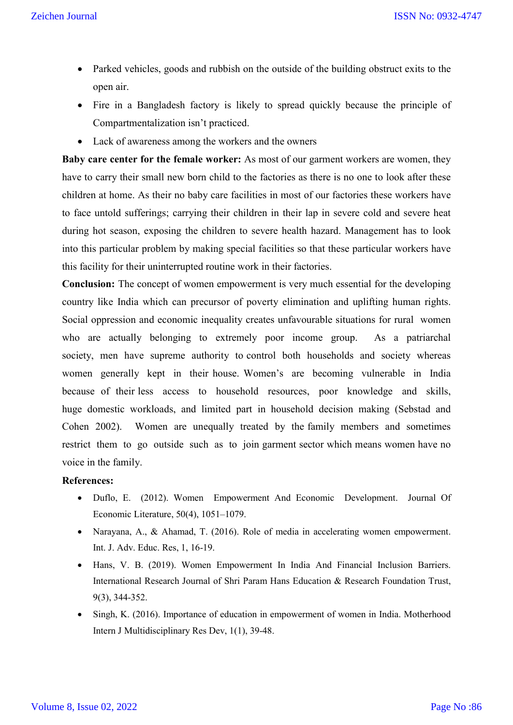- Parked vehicles, goods and rubbish on the outside of the building obstruct exits to the open air.
- Fire in a Bangladesh factory is likely to spread quickly because the principle of Compartmentalization isn't practiced.
- Lack of awareness among the workers and the owners

**Baby care center for the female worker:** As most of our garment workers are women, they have to carry their small new born child to the factories as there is no one to look after these children at home. As their no baby care facilities in most of our factories these workers have to face untold sufferings; carrying their children in their lap in severe cold and severe heat during hot season, exposing the children to severe health hazard. Management has to look into this particular problem by making special facilities so that these particular workers have this facility for their uninterrupted routine work in their factories.

**Conclusion:** The concept of women empowerment is very much essential for the developing country like India which can precursor of poverty elimination and uplifting human rights. Social oppression and economic inequality creates unfavourable situations for rural women who are actually belonging to extremely poor income group. As a patriarchal society, men have supreme authority to control both households and society whereas women generally kept in their house. Women's are becoming vulnerable in India because of their less access to household resources, poor knowledge and skills, huge domestic workloads, and limited part in household decision making (Sebstad and Cohen 2002). Women are unequally treated by the family members and sometimes restrict them to go outside such as to join garment sector which means women have no voice in the family.

#### **References:**

- Duflo, E. (2012). Women Empowerment And Economic Development. Journal Of Economic Literature, 50(4), 1051–1079.
- Narayana, A., & Ahamad, T. (2016). Role of media in accelerating women empowerment. Int. J. Adv. Educ. Res, 1, 16-19.
- Hans, V. B. (2019). Women Empowerment In India And Financial Inclusion Barriers. International Research Journal of Shri Param Hans Education & Research Foundation Trust, 9(3), 344-352.
- Singh, K. (2016). Importance of education in empowerment of women in India. Motherhood Intern J Multidisciplinary Res Dev, 1(1), 39-48.